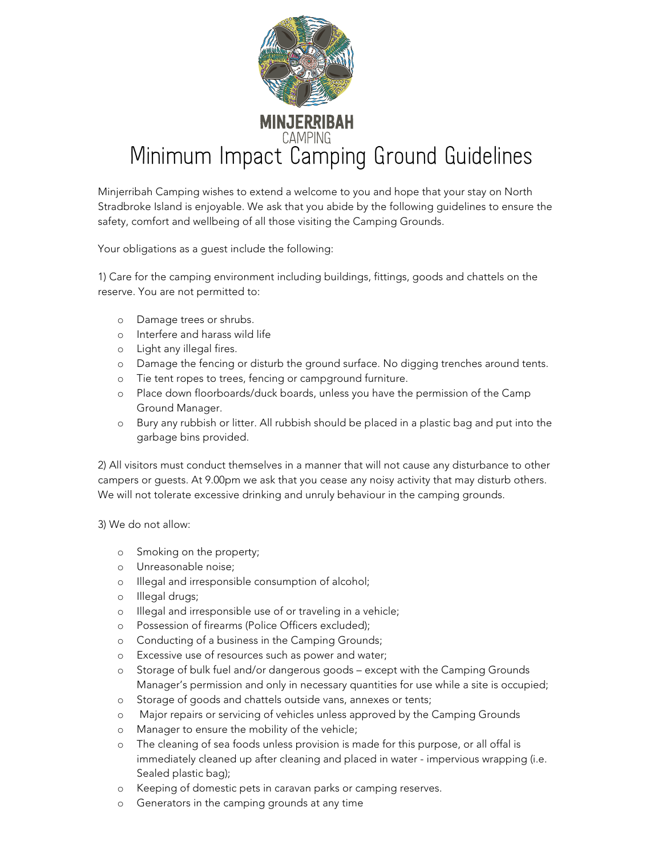

Minjerribah Camping wishes to extend a welcome to you and hope that your stay on North Stradbroke Island is enjoyable. We ask that you abide by the following guidelines to ensure the safety, comfort and wellbeing of all those visiting the Camping Grounds.

Your obligations as a guest include the following:

1) Care for the camping environment including buildings, fittings, goods and chattels on the reserve. You are not permitted to:

- o Damage trees or shrubs.
- o Interfere and harass wild life
- o Light any illegal fires.
- o Damage the fencing or disturb the ground surface. No digging trenches around tents.
- o Tie tent ropes to trees, fencing or campground furniture.
- o Place down floorboards/duck boards, unless you have the permission of the Camp Ground Manager.
- o Bury any rubbish or litter. All rubbish should be placed in a plastic bag and put into the garbage bins provided.

2) All visitors must conduct themselves in a manner that will not cause any disturbance to other campers or guests. At 9.00pm we ask that you cease any noisy activity that may disturb others. We will not tolerate excessive drinking and unruly behaviour in the camping grounds.

3) We do not allow:

- o Smoking on the property;
- o Unreasonable noise;
- o Illegal and irresponsible consumption of alcohol;
- o Illegal drugs;
- o Illegal and irresponsible use of or traveling in a vehicle;
- o Possession of firearms (Police Officers excluded);
- o Conducting of a business in the Camping Grounds;
- o Excessive use of resources such as power and water;
- o Storage of bulk fuel and/or dangerous goods except with the Camping Grounds Manager's permission and only in necessary quantities for use while a site is occupied;
- o Storage of goods and chattels outside vans, annexes or tents;
- o Major repairs or servicing of vehicles unless approved by the Camping Grounds
- o Manager to ensure the mobility of the vehicle;
- o The cleaning of sea foods unless provision is made for this purpose, or all offal is immediately cleaned up after cleaning and placed in water - impervious wrapping (i.e. Sealed plastic bag);
- o Keeping of domestic pets in caravan parks or camping reserves.
- o Generators in the camping grounds at any time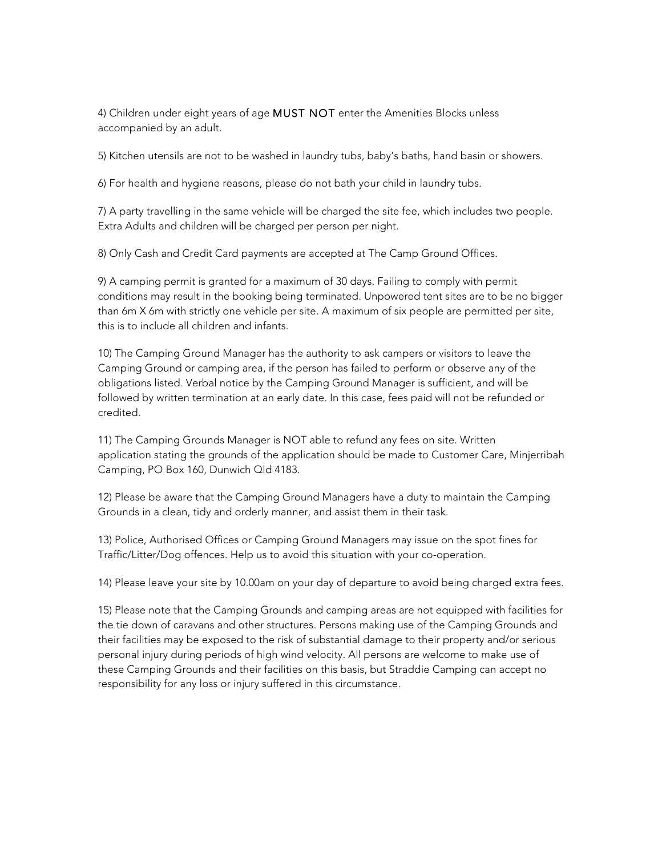4) Children under eight years of age MUST NOT enter the Amenities Blocks unless accompanied by an adult.

5) Kitchen utensils are not to be washed in laundry tubs, baby's baths, hand basin or showers.

6) For health and hygiene reasons, please do not bath your child in laundry tubs.

7) A party travelling in the same vehicle will be charged the site fee, which includes two people. Extra Adults and children will be charged per person per night.

8) Only Cash and Credit Card payments are accepted at The Camp Ground Offices.

9) A camping permit is granted for a maximum of 30 days. Failing to comply with permit conditions may result in the booking being terminated. Unpowered tent sites are to be no bigger than 6m X 6m with strictly one vehicle per site. A maximum of six people are permitted per site, this is to include all children and infants.

10) The Camping Ground Manager has the authority to ask campers or visitors to leave the Camping Ground or camping area, if the person has failed to perform or observe any of the obligations listed. Verbal notice by the Camping Ground Manager is sufficient, and will be followed by written termination at an early date. In this case, fees paid will not be refunded or credited.

11) The Camping Grounds Manager is NOT able to refund any fees on site. Written application stating the grounds of the application should be made to Customer Care, Minjerribah Camping, PO Box 160, Dunwich Qld 4183.

12) Please be aware that the Camping Ground Managers have a duty to maintain the Camping Grounds in a clean, tidy and orderly manner, and assist them in their task.

13) Police, Authorised Offices or Camping Ground Managers may issue on the spot fines for Traffic/Litter/Dog offences. Help us to avoid this situation with your co-operation.

14) Please leave your site by 10.00am on your day of departure to avoid being charged extra fees.

15) Please note that the Camping Grounds and camping areas are not equipped with facilities for the tie down of caravans and other structures. Persons making use of the Camping Grounds and their facilities may be exposed to the risk of substantial damage to their property and/or serious personal injury during periods of high wind velocity. All persons are welcome to make use of these Camping Grounds and their facilities on this basis, but Straddie Camping can accept no responsibility for any loss or injury suffered in this circumstance.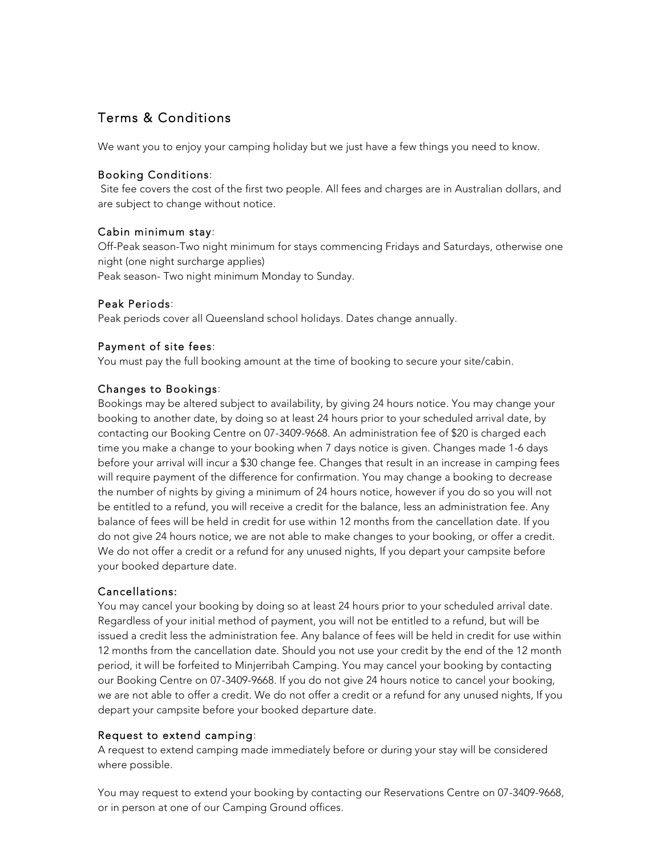# Terms & Conditions

We want you to enjoy your camping holiday but we just have a few things you need to know.

## Booking Conditions:

Site fee covers the cost of the first two people. All fees and charges are in Australian dollars, and are subject to change without notice.

## Cabin minimum stay:

Off-Peak season-Two night minimum for stays commencing Fridays and Saturdays, otherwise one night (one night surcharge applies) Peak season- Two night minimum Monday to Sunday.

## Peak Periods:

Peak periods cover all Queensland school holidays. Dates change annually.

## Payment of site fees:

You must pay the full booking amount at the time of booking to secure your site/cabin.

## Changes to Bookings:

Bookings may be altered subject to availability, by giving 24 hours notice. You may change your booking to another date, by doing so at least 24 hours prior to your scheduled arrival date, by contacting our Booking Centre on 07-3409-9668. An administration fee of \$20 is charged each time you make a change to your booking when 7 days notice is given. Changes made 1-6 days before your arrival will incur a \$30 change fee. Changes that result in an increase in camping fees will require payment of the difference for confirmation. You may change a booking to decrease the number of nights by giving a minimum of 24 hours notice, however if you do so you will not be entitled to a refund, you will receive a credit for the balance, less an administration fee. Any balance of fees will be held in credit for use within 12 months from the cancellation date. If you do not give 24 hours notice, we are not able to make changes to your booking, or offer a credit. We do not offer a credit or a refund for any unused nights, If you depart your campsite before your booked departure date.

#### Cancellations:

You may cancel your booking by doing so at least 24 hours prior to your scheduled arrival date. Regardless of your initial method of payment, you will not be entitled to a refund, but will be issued a credit less the administration fee. Any balance of fees will be held in credit for use within 12 months from the cancellation date. Should you not use your credit by the end of the 12 month period, it will be forfeited to Minjerribah Camping. You may cancel your booking by contacting our Booking Centre on 07-3409-9668. If you do not give 24 hours notice to cancel your booking, we are not able to offer a credit. We do not offer a credit or a refund for any unused nights, If you depart your campsite before your booked departure date.

#### Request to extend camping:

A request to extend camping made immediately before or during your stay will be considered where possible.

You may request to extend your booking by contacting our Reservations Centre on 07-3409-9668, or in person at one of our Camping Ground offices.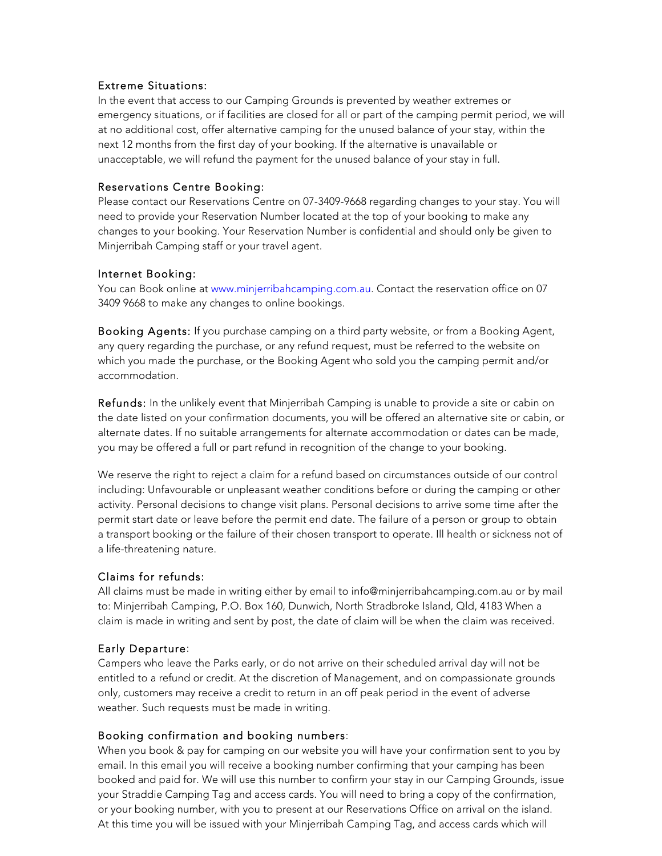#### Extreme Situations:

In the event that access to our Camping Grounds is prevented by weather extremes or emergency situations, or if facilities are closed for all or part of the camping permit period, we will at no additional cost, offer alternative camping for the unused balance of your stay, within the next 12 months from the first day of your booking. If the alternative is unavailable or unacceptable, we will refund the payment for the unused balance of your stay in full.

## Reservations Centre Booking:

Please contact our Reservations Centre on 07-3409-9668 regarding changes to your stay. You will need to provide your Reservation Number located at the top of your booking to make any changes to your booking. Your Reservation Number is confidential and should only be given to Minjerribah Camping staff or your travel agent.

#### Internet Booking:

You can Book online at www.minjerribahcamping.com.au. Contact the reservation office on 07 3409 9668 to make any changes to online bookings.

Booking Agents: If you purchase camping on a third party website, or from a Booking Agent, any query regarding the purchase, or any refund request, must be referred to the website on which you made the purchase, or the Booking Agent who sold you the camping permit and/or accommodation.

Refunds: In the unlikely event that Minjerribah Camping is unable to provide a site or cabin on the date listed on your confirmation documents, you will be offered an alternative site or cabin, or alternate dates. If no suitable arrangements for alternate accommodation or dates can be made, you may be offered a full or part refund in recognition of the change to your booking.

We reserve the right to reject a claim for a refund based on circumstances outside of our control including: Unfavourable or unpleasant weather conditions before or during the camping or other activity. Personal decisions to change visit plans. Personal decisions to arrive some time after the permit start date or leave before the permit end date. The failure of a person or group to obtain a transport booking or the failure of their chosen transport to operate. Ill health or sickness not of a life-threatening nature.

# Claims for refunds:

All claims must be made in writing either by email to info@minjerribahcamping.com.au or by mail to: Minjerribah Camping, P.O. Box 160, Dunwich, North Stradbroke Island, Qld, 4183 When a claim is made in writing and sent by post, the date of claim will be when the claim was received.

# Early Departure:

Campers who leave the Parks early, or do not arrive on their scheduled arrival day will not be entitled to a refund or credit. At the discretion of Management, and on compassionate grounds only, customers may receive a credit to return in an off peak period in the event of adverse weather. Such requests must be made in writing.

#### Booking confirmation and booking numbers:

When you book & pay for camping on our website you will have your confirmation sent to you by email. In this email you will receive a booking number confirming that your camping has been booked and paid for. We will use this number to confirm your stay in our Camping Grounds, issue your Straddie Camping Tag and access cards. You will need to bring a copy of the confirmation, or your booking number, with you to present at our Reservations Office on arrival on the island. At this time you will be issued with your Minjerribah Camping Tag, and access cards which will